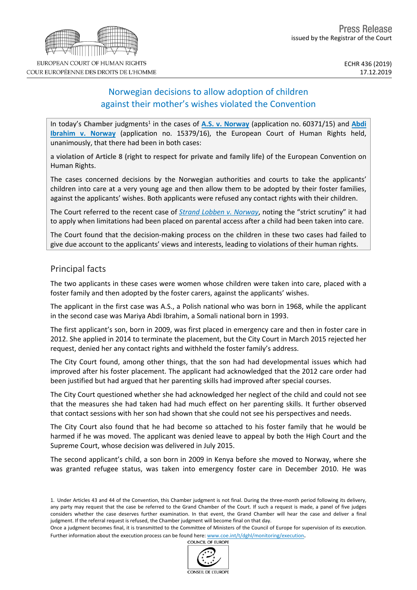# Norwegian decisions to allow adoption of children against their mother's wishes violated the Convention

In today's Chamber judgments<sup>1</sup> in the cases of A.S. v. [Norway](http://hudoc.echr.coe.int/eng?i=001-199381) (application no. 60371/15) and [Abdi](http://hudoc.echr.coe.int/eng?i=001-199382) **Ibrahim v. [Norway](http://hudoc.echr.coe.int/eng?i=001-199382)** (application no. 15379/16), the European Court of Human Rights held, unanimously, that there had been in both cases:

**a violation of Article 8 (right to respect for private and family life)** of the European Convention on Human Rights.

The cases concerned decisions by the Norwegian authorities and courts to take the applicants' children into care at a very young age and then allow them to be adopted by their foster families, against the applicants' wishes. Both applicants were refused any contact rights with their children.

The Court referred to the recent case of *Strand Lobben v. [Norway](http://hudoc.echr.coe.int/eng?i=003-6498789-8572062)*, noting the "strict scrutiny" it had to apply when limitations had been placed on parental access after a child had been taken into care.

The Court found that the decision-making process on the children in these two cases had failed to give due account to the applicants' views and interests, leading to violations of their human rights.

## Principal facts

The two applicants in these cases were women whose children were taken into care, placed with a foster family and then adopted by the foster carers, against the applicants' wishes.

The applicant in the first case was A.S., a Polish national who was born in 1968, while the applicant in the second case was Mariya Abdi Ibrahim, a Somali national born in 1993.

The first applicant's son, born in 2009, was first placed in emergency care and then in foster care in 2012. She applied in 2014 to terminate the placement, but the City Court in March 2015 rejected her request, denied her any contact rights and withheld the foster family's address.

The City Court found, among other things, that the son had had developmental issues which had improved after his foster placement. The applicant had acknowledged that the 2012 care order had been justified but had argued that her parenting skills had improved after special courses.

The City Court questioned whether she had acknowledged her neglect of the child and could not see that the measures she had taken had had much effect on her parenting skills. It further observed that contact sessions with her son had shown that she could not see his perspectives and needs.

The City Court also found that he had become so attached to his foster family that he would be harmed if he was moved. The applicant was denied leave to appeal by both the High Court and the Supreme Court, whose decision was delivered in July 2015.

The second applicant's child, a son born in 2009 in Kenya before she moved to Norway, where she was granted refugee status, was taken into emergency foster care in December 2010. He was





<sup>1.</sup> Under Articles 43 and 44 of the Convention, this Chamber judgment is not final. During the three-month period following its delivery, any party may request that the case be referred to the Grand Chamber of the Court. If such a request is made, a panel of five judges considers whether the case deserves further examination. In that event, the Grand Chamber will hear the case and deliver a final judgment. If the referral request is refused, the Chamber judgment will become final on that day.

Once a judgment becomes final, it is transmitted to the Committee of Ministers of the Council of Europe for supervision of its execution. Further information about the execution process can be found here: [www.coe.int/t/dghl/monitoring/execution](http://www.coe.int/t/dghl/monitoring/execution).<br>COUNCIL OF FUROPE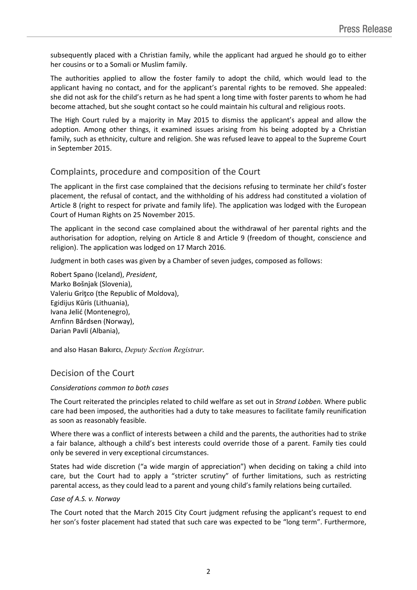subsequently placed with a Christian family, while the applicant had argued he should go to either her cousins or to a Somali or Muslim family.

The authorities applied to allow the foster family to adopt the child, which would lead to the applicant having no contact, and for the applicant's parental rights to be removed. She appealed: she did not ask for the child's return as he had spent a long time with foster parents to whom he had become attached, but she sought contact so he could maintain his cultural and religious roots.

The High Court ruled by a majority in May 2015 to dismiss the applicant's appeal and allow the adoption. Among other things, it examined issues arising from his being adopted by a Christian family, such as ethnicity, culture and religion. She was refused leave to appeal to the Supreme Court in September 2015.

## Complaints, procedure and composition of the Court

The applicant in the first case complained that the decisions refusing to terminate her child's foster placement, the refusal of contact, and the withholding of his address had constituted a violation of Article 8 (right to respect for private and family life). The application was lodged with the European Court of Human Rights on 25 November 2015.

The applicant in the second case complained about the withdrawal of her parental rights and the authorisation for adoption, relying on Article 8 and Article 9 (freedom of thought, conscience and religion). The application was lodged on 17 March 2016.

Judgment in both cases was given by a Chamber of seven judges, composed as follows:

Robert **Spano** (Iceland), *President*, Marko **Bošnjak** (Slovenia), Valeriu **Griţco** (the Republic of Moldova), Egidijus **Kūris** (Lithuania), Ivana **Jelić** (Montenegro), Arnfinn **Bårdsen** (Norway), Darian **Pavli** (Albania),

and also Hasan **Bakırcı**, *Deputy Section Registrar.*

## Decision of the Court

### *Considerations common to both cases*

The Court reiterated the principles related to child welfare as set out in *Strand Lobben.* Where public care had been imposed, the authorities had a duty to take measures to facilitate family reunification as soon as reasonably feasible.

Where there was a conflict of interests between a child and the parents, the authorities had to strike a fair balance, although a child's best interests could override those of a parent. Family ties could only be severed in very exceptional circumstances.

States had wide discretion ("a wide margin of appreciation") when deciding on taking a child into care, but the Court had to apply a "stricter scrutiny" of further limitations, such as restricting parental access, as they could lead to a parent and young child's family relations being curtailed.

### *Case of A.S. v. Norway*

The Court noted that the March 2015 City Court judgment refusing the applicant's request to end her son's foster placement had stated that such care was expected to be "long term". Furthermore,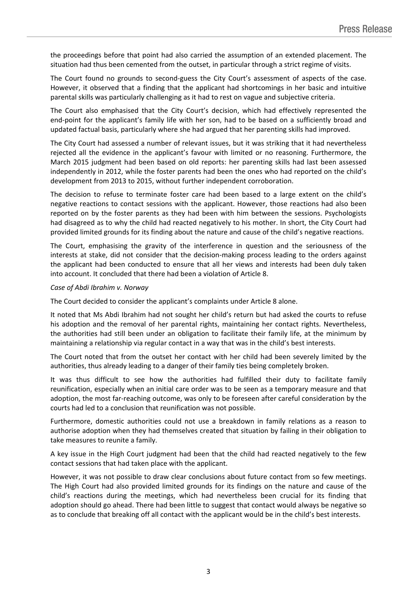the proceedings before that point had also carried the assumption of an extended placement. The situation had thus been cemented from the outset, in particular through a strict regime of visits.

The Court found no grounds to second-guess the City Court's assessment of aspects of the case. However, it observed that a finding that the applicant had shortcomings in her basic and intuitive parental skills was particularly challenging as it had to rest on vague and subjective criteria.

The Court also emphasised that the City Court's decision, which had effectively represented the end-point for the applicant's family life with her son, had to be based on a sufficiently broad and updated factual basis, particularly where she had argued that her parenting skills had improved.

The City Court had assessed a number of relevant issues, but it was striking that it had nevertheless rejected all the evidence in the applicant's favour with limited or no reasoning. Furthermore, the March 2015 judgment had been based on old reports: her parenting skills had last been assessed independently in 2012, while the foster parents had been the ones who had reported on the child's development from 2013 to 2015, without further independent corroboration.

The decision to refuse to terminate foster care had been based to a large extent on the child's negative reactions to contact sessions with the applicant. However, those reactions had also been reported on by the foster parents as they had been with him between the sessions. Psychologists had disagreed as to why the child had reacted negatively to his mother. In short, the City Court had provided limited grounds for its finding about the nature and cause of the child's negative reactions.

The Court, emphasising the gravity of the interference in question and the seriousness of the interests at stake, did not consider that the decision-making process leading to the orders against the applicant had been conducted to ensure that all her views and interests had been duly taken into account. It concluded that there had been a violation of Article 8.

### *Case of Abdi Ibrahim v. Norway*

The Court decided to consider the applicant's complaints under Article 8 alone.

It noted that Ms Abdi Ibrahim had not sought her child's return but had asked the courts to refuse his adoption and the removal of her parental rights, maintaining her contact rights. Nevertheless, the authorities had still been under an obligation to facilitate their family life, at the minimum by maintaining a relationship via regular contact in a way that was in the child's best interests.

The Court noted that from the outset her contact with her child had been severely limited by the authorities, thus already leading to a danger of their family ties being completely broken.

It was thus difficult to see how the authorities had fulfilled their duty to facilitate family reunification, especially when an initial care order was to be seen as a temporary measure and that adoption, the most far-reaching outcome, was only to be foreseen after careful consideration by the courts had led to a conclusion that reunification was not possible.

Furthermore, domestic authorities could not use a breakdown in family relations as a reason to authorise adoption when they had themselves created that situation by failing in their obligation to take measures to reunite a family.

A key issue in the High Court judgment had been that the child had reacted negatively to the few contact sessions that had taken place with the applicant.

However, it was not possible to draw clear conclusions about future contact from so few meetings. The High Court had also provided limited grounds for its findings on the nature and cause of the child's reactions during the meetings, which had nevertheless been crucial for its finding that adoption should go ahead. There had been little to suggest that contact would always be negative so as to conclude that breaking off all contact with the applicant would be in the child's best interests.